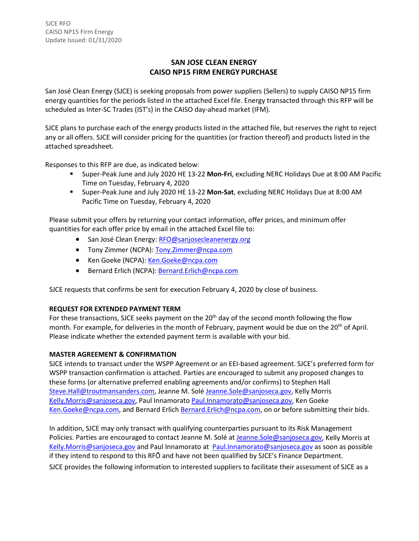# **SAN JOSE CLEAN ENERGY CAISO NP15 FIRM ENERGY PURCHASE**

San José Clean Energy (SJCE) is seeking proposals from power suppliers (Sellers) to supply CAISO NP15 firm energy quantities for the periods listed in the attached Excel file. Energy transacted through this RFP will be scheduled as Inter-SC Trades (IST's) in the CAISO day-ahead market (IFM).

SJCE plans to purchase each of the energy products listed in the attached file, but reserves the right to reject any or all offers. SJCE will consider pricing for the quantities (or fraction thereof) and products listed in the attached spreadsheet.

Responses to this RFP are due, as indicated below:

- Super-Peak June and July 2020 HE 13-22 **Mon-Fri**, excluding NERC Holidays Due at 8:00 AM Pacific Time on Tuesday, February 4, 2020
- Super-Peak June and July 2020 HE 13-22 **Mon-Sat**, excluding NERC Holidays Due at 8:00 AM Pacific Time on Tuesday, February 4, 2020

Please submit your offers by returning your contact information, offer prices, and minimum offer quantities for each offer price by email in the attached Excel file to:

- San José Clean Energy: [RFO@sanjosecleanenergy.org](mailto:RFO@sanjosecleanenergy.org)
- Tony Zimmer (NCPA): [Tony.Zimmer@ncpa.com](mailto:Tony.Zimmer@ncpa.com)
- Ken Goeke (NCPA): [Ken.Goeke@ncpa.com](mailto:Ken.Goeke@ncpa.com)
- Bernard Erlich (NCPA): [Bernard.Erlich@ncpa.com](mailto:Bernard.Erlich@ncpa.com)

SJCE requests that confirms be sent for execution February 4, 2020 by close of business.

## **REQUEST FOR EXTENDED PAYMENT TERM**

For these transactions, SJCE seeks payment on the 20<sup>th</sup> day of the second month following the flow month. For example, for deliveries in the month of February, payment would be due on the 20<sup>th</sup> of April. Please indicate whether the extended payment term is available with your bid.

## **MASTER AGREEMENT & CONFIRMATION**

SJCE intends to transact under the WSPP Agreement or an EEI-based agreement. SJCE's preferred form for WSPP transaction confirmation is attached. Parties are encouraged to submit any proposed changes to these forms (or alternative preferred enabling agreements and/or confirms) to Stephen Hall [Steve.Hall@troutmansanders.com, J](mailto:Steve.Hall@troutmansanders.com)eanne M. Solé [Jeanne.Sole@sanjoseca.gov,](mailto:Jeanne.Sole@sanjoseca.gov) Kelly Morris [Kelly.Morris@sanjoseca.gov,](mailto:Kelly.Morris@sanjoseca.gov) Paul Innamorato [Paul.Innamorato@sanjoseca.gov,](mailto:Paul.Innamorato@sanjoseca.gov) Ken Goeke [Ken.Goeke@ncpa.com,](mailto:Ken.Goeke@ncpa.com) and Bernard Erlich [Bernard.Erlich@ncpa.com,](mailto:Bernard.Erlich@ncpa.com) on or before submitting their bids.

In addition, SJCE may only transact with qualifying counterparties pursuant to its Risk Management Policies. Parties are encouraged to contact Jeanne M. Solé at [Jeanne.Sole@sanjoseca.gov,](mailto:Jeanne.Sole@sanjoseca.gov) Kelly Morris at [Kelly.Morris@sanjoseca.gov](mailto:Kelly.Morris@sanjoseca.gov) and Paul Innamorato at [Paul.Innamorato@sanjoseca.gov](mailto:Paul.Innamorato@sanjoseca.gov) as soon as possible if they intend to respond to this RFO and have not been qualified by SJCE's Finance Department. SJCE provides the following information to interested suppliers to facilitate their assessment of SJCE as a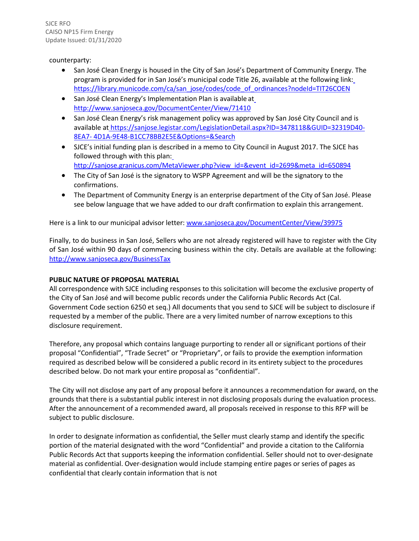SJCE RFO CAISO NP15 Firm Energy Update Issued: 01/31/2020

#### counterparty:

- San José Clean Energy is housed in the City of San José's Department of Community Energy. The program is provided for in San José's municipal code Title 26, available at the following link: [https://library.municode.com/ca/san\\_jose/codes/code\\_of\\_ordinances?nodeId=TIT26COEN](https://library.municode.com/ca/san_jose/codes/code_of_ordinances?nodeId=TIT26COEN)
- San José Clean Energy's Implementation Plan is available a[t](http://www.sanjoseca.gov/DocumentCenter/View/71410) <http://www.sanjoseca.gov/DocumentCenter/View/71410>
- San José Clean Energy's risk management policy was approved by San José City Council and is available at [https://sanjose.legistar.com/LegislationDetail.aspx?ID=3478118&GUID=32319D40-](https://sanjose.legistar.com/LegislationDetail.aspx?ID=3478118&GUID=32319D40-8EA7-4D1A-9E48-B1CC78BB2E5E&Options&Search) [8EA7-](https://sanjose.legistar.com/LegislationDetail.aspx?ID=3478118&GUID=32319D40-8EA7-4D1A-9E48-B1CC78BB2E5E&Options&Search) [4D1A-9E48-B1CC78BB2E5E&Options=&Search](https://sanjose.legistar.com/LegislationDetail.aspx?ID=3478118&GUID=32319D40-8EA7-4D1A-9E48-B1CC78BB2E5E&Options&Search)
- SJCE's initial funding plan is described in a memo to City Council in August 2017. The SJCE has followed through with this plan: [http://sanjose.granicus.com/MetaViewer.php?view\\_id=&event\\_id=2699&meta\\_id=650894](http://sanjose.granicus.com/MetaViewer.php?view_id&event_id=2699&meta_id=650894)
- The City of San José is the signatory to WSPP Agreement and will be the signatory to the confirmations.
- The Department of Community Energy is an enterprise department of the City of San José. Please see below language that we have added to our draft confirmation to explain this arrangement.

Here is a link to our municipal advisor letter[: www.sanjoseca.gov/DocumentCenter/View/39975](http://www.sanjoseca.gov/DocumentCenter/View/39975)

Finally, to do business in San José, Sellers who are not already registered will have to register with the City of San José within 90 days of commencing business within the city. Details are available at the following: <http://www.sanjoseca.gov/BusinessTax>

### **PUBLIC NATURE OF PROPOSAL MATERIAL**

All correspondence with SJCE including responses to this solicitation will become the exclusive property of the City of San José and will become public records under the California Public Records Act (Cal. Government Code section 6250 et seq.) All documents that you send to SJCE will be subject to disclosure if requested by a member of the public. There are a very limited number of narrow exceptions to this disclosure requirement.

Therefore, any proposal which contains language purporting to render all or significant portions of their proposal "Confidential", "Trade Secret" or "Proprietary", or fails to provide the exemption information required as described below will be considered a public record in its entirety subject to the procedures described below. Do not mark your entire proposal as "confidential".

The City will not disclose any part of any proposal before it announces a recommendation for award, on the grounds that there is a substantial public interest in not disclosing proposals during the evaluation process. After the announcement of a recommended award, all proposals received in response to this RFP will be subject to public disclosure.

In order to designate information as confidential, the Seller must clearly stamp and identify the specific portion of the material designated with the word "Confidential" and provide a citation to the California Public Records Act that supports keeping the information confidential. Seller should not to over-designate material as confidential. Over-designation would include stamping entire pages or series of pages as confidential that clearly contain information that is not